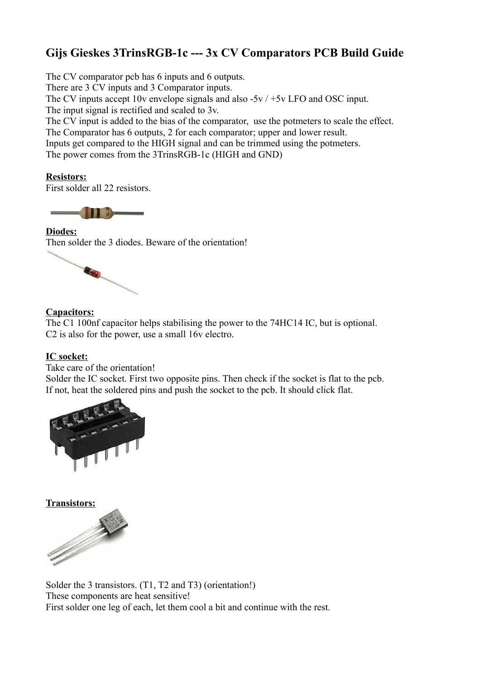# **Gijs Gieskes 3TrinsRGB-1c --- 3x CV Comparators PCB Build Guide**

The CV comparator pcb has 6 inputs and 6 outputs.

There are 3 CV inputs and 3 Comparator inputs.

The CV inputs accept 10v envelope signals and also -5v / +5v LFO and OSC input.

The input signal is rectified and scaled to 3v.

The CV input is added to the bias of the comparator, use the potmeters to scale the effect.

The Comparator has 6 outputs, 2 for each comparator; upper and lower result.

Inputs get compared to the HIGH signal and can be trimmed using the potmeters.

The power comes from the 3TrinsRGB-1c (HIGH and GND)

# **Resistors:**

First solder all 22 resistors.



**Diodes:** Then solder the 3 diodes. Beware of the orientation!



## **Capacitors:**

The C1 100nf capacitor helps stabilising the power to the 74HC14 IC, but is optional. C2 is also for the power, use a small 16v electro.

## **IC socket:**

Take care of the orientation!

Solder the IC socket. First two opposite pins. Then check if the socket is flat to the pcb. If not, heat the soldered pins and push the socket to the pcb. It should click flat.



**Transistors:**



Solder the 3 transistors. (T1, T2 and T3) (orientation!) These components are heat sensitive! First solder one leg of each, let them cool a bit and continue with the rest.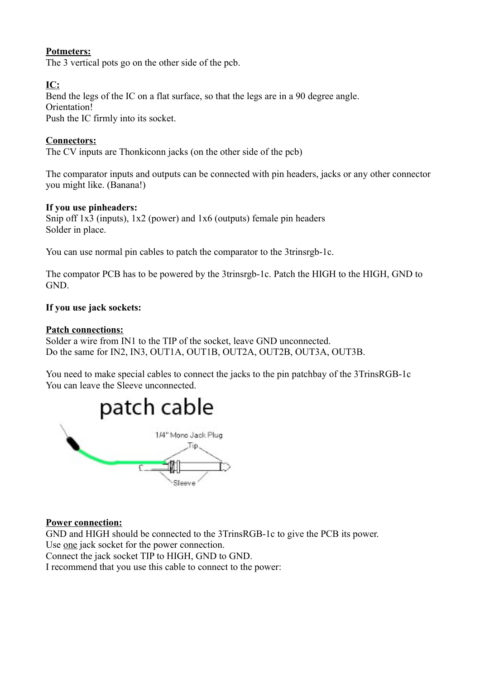# **Potmeters:**

The 3 vertical pots go on the other side of the pcb.

# **IC:**

Bend the legs of the IC on a flat surface, so that the legs are in a 90 degree angle. Orientation! Push the IC firmly into its socket.

## **Connectors:**

The CV inputs are Thonkiconn jacks (on the other side of the pcb)

The comparator inputs and outputs can be connected with pin headers, jacks or any other connector you might like. (Banana!)

#### **If you use pinheaders:**

Snip off 1x3 (inputs), 1x2 (power) and 1x6 (outputs) female pin headers Solder in place.

You can use normal pin cables to patch the comparator to the 3trinsrgb-1c.

The compator PCB has to be powered by the 3trinsrgb-1c. Patch the HIGH to the HIGH, GND to GND.

#### **If you use jack sockets:**

#### **Patch connections:**

Solder a wire from IN1 to the TIP of the socket, leave GND unconnected. Do the same for IN2, IN3, OUT1A, OUT1B, OUT2A, OUT2B, OUT3A, OUT3B.

You need to make special cables to connect the jacks to the pin patchbay of the 3TrinsRGB-1c You can leave the Sleeve unconnected.



#### **Power connection:**

GND and HIGH should be connected to the 3TrinsRGB-1c to give the PCB its power. Use one jack socket for the power connection.

Connect the jack socket TIP to HIGH, GND to GND.

I recommend that you use this cable to connect to the power: